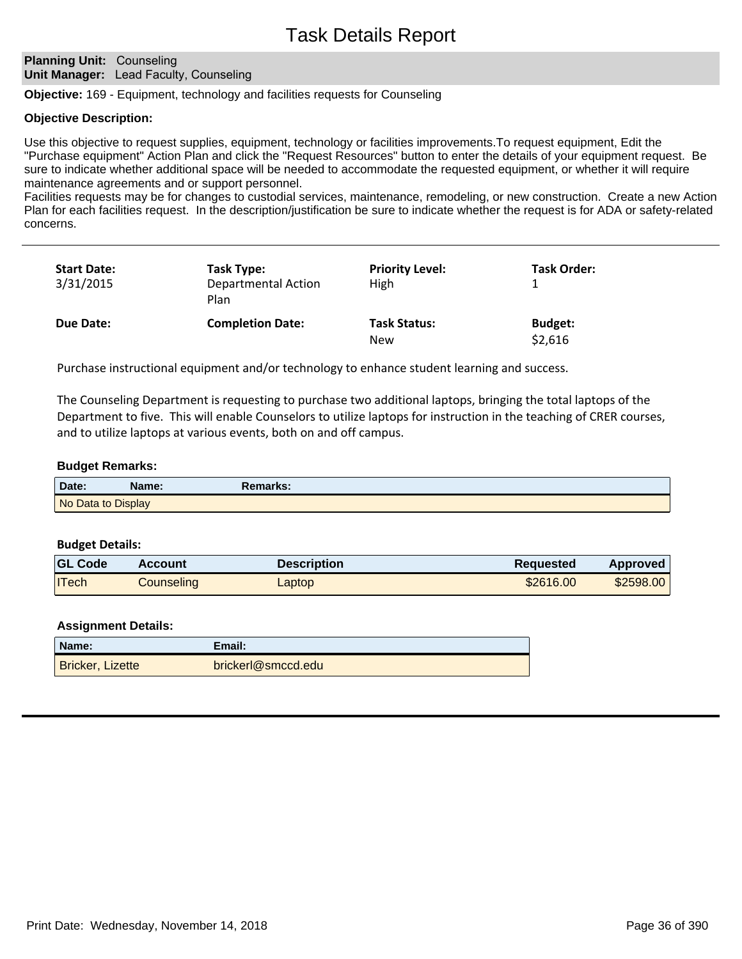## **Planning Unit: Counseling Unit Manager:** Lead Faculty, Counseling

**Objective:** 169 - Equipment, technology and facilities requests for Counseling

## **Objective Description:**

Use this objective to request supplies, equipment, technology or facilities improvements.To request equipment, Edit the "Purchase equipment" Action Plan and click the "Request Resources" button to enter the details of your equipment request. Be sure to indicate whether additional space will be needed to accommodate the requested equipment, or whether it will require maintenance agreements and or support personnel.

Facilities requests may be for changes to custodial services, maintenance, remodeling, or new construction. Create a new Action Plan for each facilities request. In the description/justification be sure to indicate whether the request is for ADA or safety-related concerns.

| <b>Start Date:</b><br>3/31/2015 | Task Type:<br><b>Departmental Action</b><br>Plan | <b>Priority Level:</b><br>High    | <b>Task Order:</b>        |  |
|---------------------------------|--------------------------------------------------|-----------------------------------|---------------------------|--|
| Due Date:                       | <b>Completion Date:</b>                          | <b>Task Status:</b><br><b>New</b> | <b>Budget:</b><br>\$2,616 |  |

Purchase instructional equipment and/or technology to enhance student learning and success.

The Counseling Department is requesting to purchase two additional laptops, bringing the total laptops of the Department to five. This will enable Counselors to utilize laptops for instruction in the teaching of CRER courses, and to utilize laptops at various events, both on and off campus.

## **Budget Remarks:**

| Date:              | Name: | <b>Remarks:</b> |
|--------------------|-------|-----------------|
| No Data to Display |       |                 |

### **Budget Details:**

| <b>GL Code</b> | <b>Account</b> | <b>Description</b> | <b>Requested</b> | <b>Approved</b> |
|----------------|----------------|--------------------|------------------|-----------------|
| <b>ITech</b>   | Counseling     | Laptop             | \$2616.00        | \$2598.00       |

| Name:                   | Email:             |
|-------------------------|--------------------|
| <b>Bricker, Lizette</b> | brickerl@smccd.edu |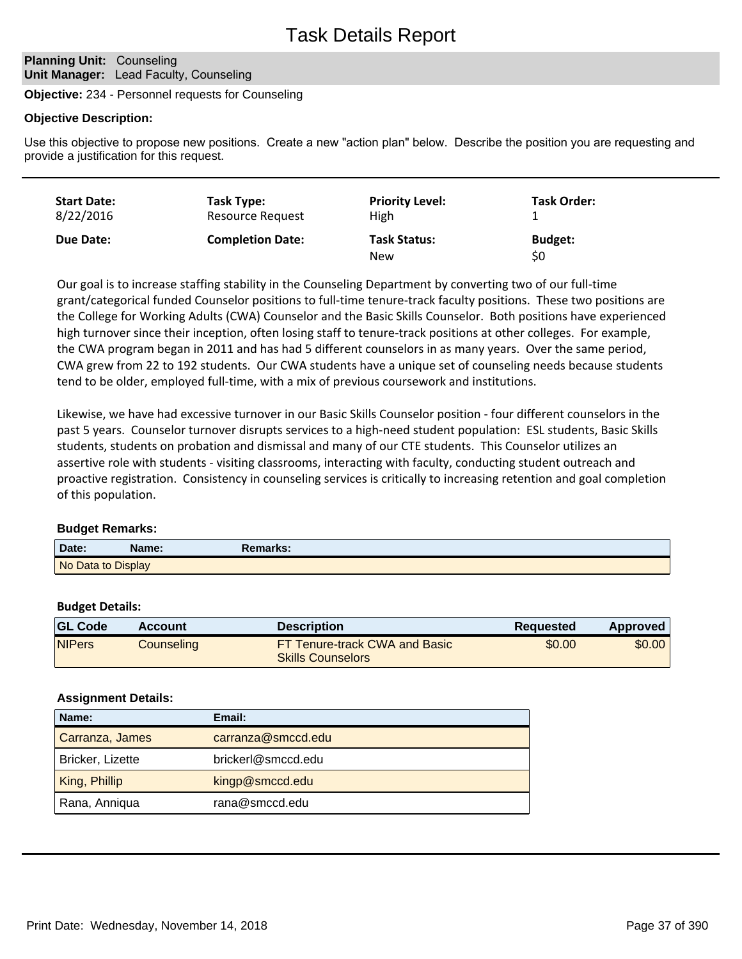# **Planning Unit: Counseling Unit Manager:** Lead Faculty, Counseling

**Objective:** 234 - Personnel requests for Counseling

## **Objective Description:**

Use this objective to propose new positions. Create a new "action plan" below. Describe the position you are requesting and provide a justification for this request.

| <b>Start Date:</b> | Task Type:              | <b>Priority Level:</b>            | <b>Task Order:</b>    |
|--------------------|-------------------------|-----------------------------------|-----------------------|
| 8/22/2016          | Resource Request        | High                              |                       |
| Due Date:          | <b>Completion Date:</b> | <b>Task Status:</b><br><b>New</b> | <b>Budget:</b><br>\$0 |

Our goal is to increase staffing stability in the Counseling Department by converting two of our full-time grant/categorical funded Counselor positions to full-time tenure-track faculty positions. These two positions are the College for Working Adults (CWA) Counselor and the Basic Skills Counselor. Both positions have experienced high turnover since their inception, often losing staff to tenure-track positions at other colleges. For example, the CWA program began in 2011 and has had 5 different counselors in as many years. Over the same period, CWA grew from 22 to 192 students. Our CWA students have a unique set of counseling needs because students tend to be older, employed full-time, with a mix of previous coursework and institutions.

Likewise, we have had excessive turnover in our Basic Skills Counselor position - four different counselors in the past 5 years. Counselor turnover disrupts services to a high-need student population: ESL students, Basic Skills students, students on probation and dismissal and many of our CTE students. This Counselor utilizes an assertive role with students - visiting classrooms, interacting with faculty, conducting student outreach and proactive registration. Consistency in counseling services is critically to increasing retention and goal completion of this population.

### **Budget Remarks:**

| Date:              | Name: | Remarks: |
|--------------------|-------|----------|
| No Data to Display |       |          |

### **Budget Details:**

| <b>GL Code</b> | <b>Account</b> | <b>Description</b>                                        | Reguested | Approved |
|----------------|----------------|-----------------------------------------------------------|-----------|----------|
| <b>NIPers</b>  | Counseling     | FT Tenure-track CWA and Basic<br><b>Skills Counselors</b> | \$0.00    | \$0.00   |

| Name:            | Email:             |
|------------------|--------------------|
| Carranza, James  | carranza@smccd.edu |
| Bricker, Lizette | brickerl@smccd.edu |
| King, Phillip    | kingp@smccd.edu    |
| Rana, Anniqua    | rana@smccd.edu     |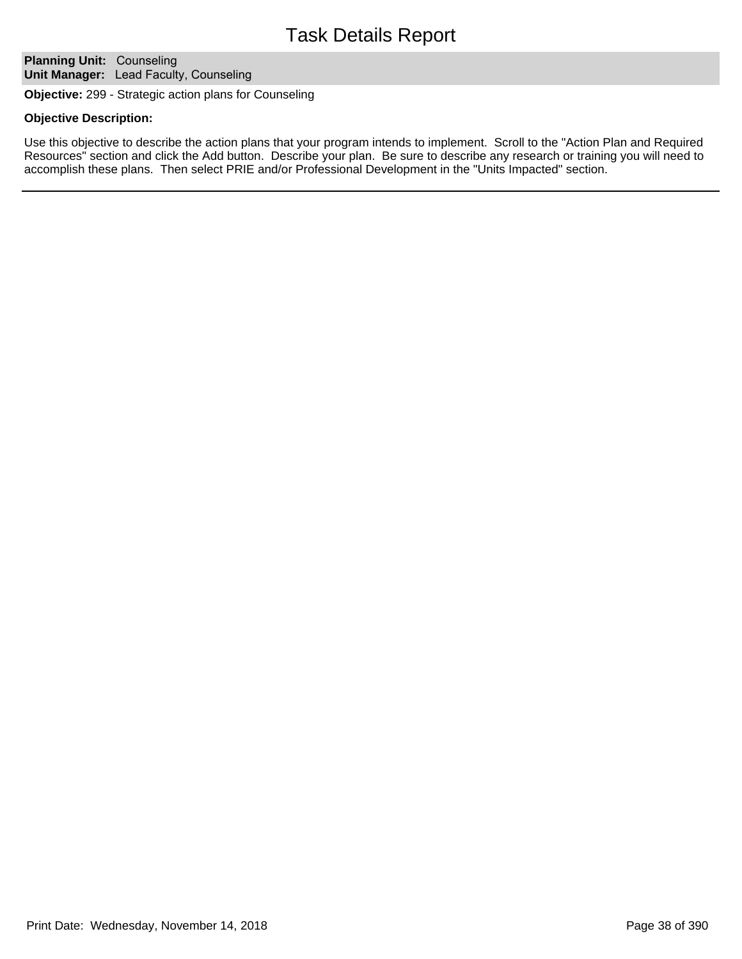# Task Details Report

**Planning Unit: Counseling Unit Manager:** Lead Faculty, Counseling

**Objective:** 299 - Strategic action plans for Counseling

## **Objective Description:**

Use this objective to describe the action plans that your program intends to implement. Scroll to the "Action Plan and Required Resources" section and click the Add button. Describe your plan. Be sure to describe any research or training you will need to accomplish these plans. Then select PRIE and/or Professional Development in the "Units Impacted" section.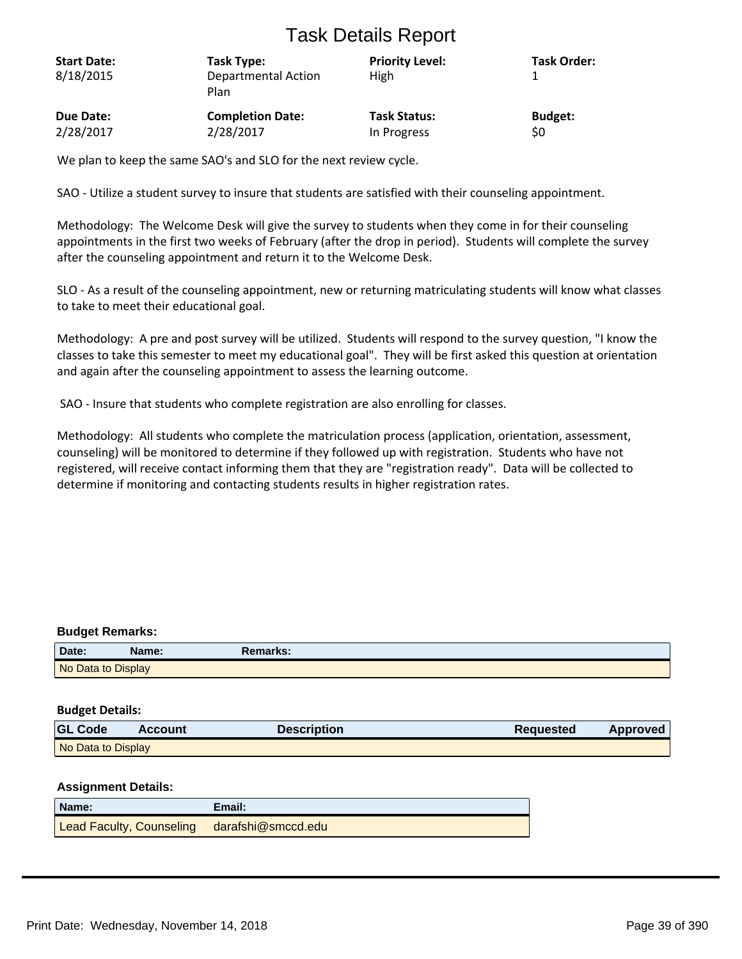# Task Details Report

| <b>Start Date:</b><br>8/18/2015 | Task Type:<br>Departmental Action<br>Plan | <b>Priority Level:</b><br>High | <b>Task Order:</b> |
|---------------------------------|-------------------------------------------|--------------------------------|--------------------|
| Due Date:                       | <b>Completion Date:</b>                   | <b>Task Status:</b>            | <b>Budget:</b>     |
| 2/28/2017                       | 2/28/2017                                 | In Progress                    | \$0                |

We plan to keep the same SAO's and SLO for the next review cycle.

SAO - Utilize a student survey to insure that students are satisfied with their counseling appointment.

Methodology: The Welcome Desk will give the survey to students when they come in for their counseling appointments in the first two weeks of February (after the drop in period). Students will complete the survey after the counseling appointment and return it to the Welcome Desk.

SLO - As a result of the counseling appointment, new or returning matriculating students will know what classes to take to meet their educational goal.

Methodology: A pre and post survey will be utilized. Students will respond to the survey question, "I know the classes to take this semester to meet my educational goal". They will be first asked this question at orientation and again after the counseling appointment to assess the learning outcome.

SAO - Insure that students who complete registration are also enrolling for classes.

Methodology: All students who complete the matriculation process (application, orientation, assessment, counseling) will be monitored to determine if they followed up with registration. Students who have not registered, will receive contact informing them that they are "registration ready". Data will be collected to determine if monitoring and contacting students results in higher registration rates.

## **Budget Remarks:**

| Date:              | Name: | Remarks: |  |
|--------------------|-------|----------|--|
| No Data to Display |       |          |  |

### **Budget Details:**

| <b>GL Code</b>     | <b>Account</b> | <b>Description</b> | <b>Requested</b> | <b>Approved</b> |
|--------------------|----------------|--------------------|------------------|-----------------|
| No Data to Display |                |                    |                  |                 |

| <b>Name:</b>                                | Email: |
|---------------------------------------------|--------|
| Lead Faculty, Counseling darafshi@smccd.edu |        |